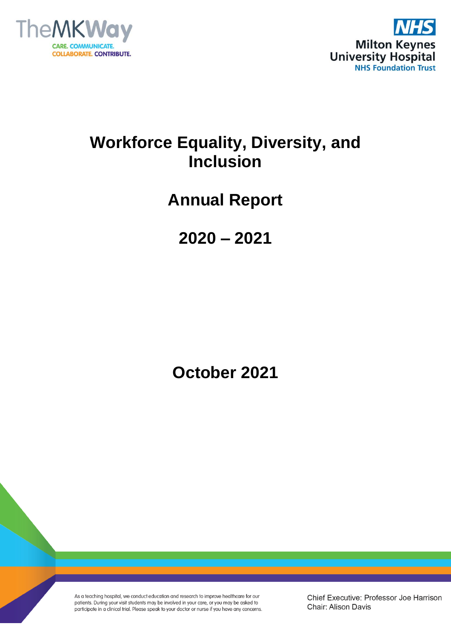



# **Workforce Equality, Diversity, and Inclusion**

# **Annual Report**

**2020 – 2021**

**October 2021**

As a teaching hospital, we conduct education and research to improve healthcare for our patients. During your visit students may be involved in your care, or you may be asked to participate in a clinical trial. Please speak to your doctor or nurse if you have any concerns.

Chief Executive: Professor Joe Harrison Chair: Alison Davis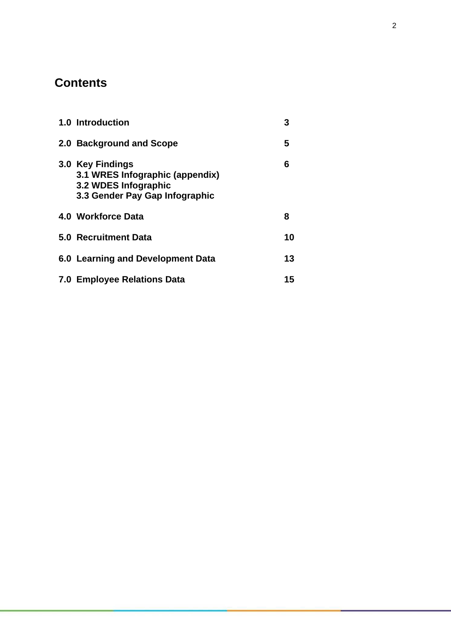# **Contents**

| 1.0 Introduction                                                                                              | 3  |
|---------------------------------------------------------------------------------------------------------------|----|
| 2.0 Background and Scope                                                                                      | 5  |
| 3.0 Key Findings<br>3.1 WRES Infographic (appendix)<br>3.2 WDES Infographic<br>3.3 Gender Pay Gap Infographic | 6  |
| 4.0 Workforce Data                                                                                            | 8  |
| 5.0 Recruitment Data                                                                                          | 10 |
| 6.0 Learning and Development Data                                                                             | 13 |
| 7.0 Employee Relations Data                                                                                   | 15 |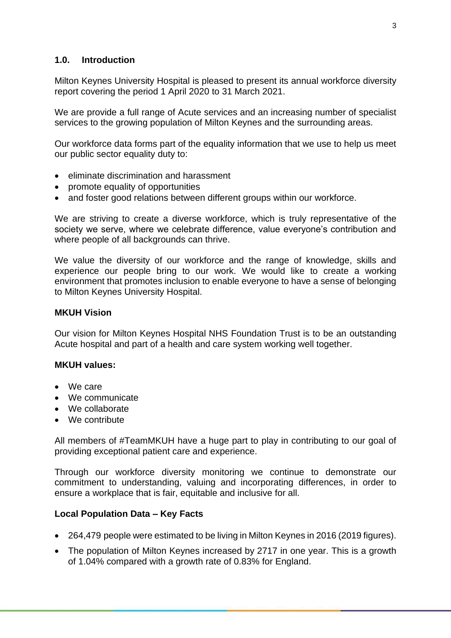# **1.0. Introduction**

Milton Keynes University Hospital is pleased to present its annual workforce diversity report covering the period 1 April 2020 to 31 March 2021.

We are provide a full range of Acute services and an increasing number of specialist services to the growing population of Milton Keynes and the surrounding areas.

Our workforce data forms part of the equality information that we use to help us meet our public sector equality duty to:

- eliminate discrimination and harassment
- promote equality of opportunities
- and foster good relations between different groups within our workforce.

We are striving to create a diverse workforce, which is truly representative of the society we serve, where we celebrate difference, value everyone's contribution and where people of all backgrounds can thrive.

We value the diversity of our workforce and the range of knowledge, skills and experience our people bring to our work. We would like to create a working environment that promotes inclusion to enable everyone to have a sense of belonging to Milton Keynes University Hospital.

#### **MKUH Vision**

Our vision for Milton Keynes Hospital NHS Foundation Trust is to be an outstanding Acute hospital and part of a health and care system working well together.

#### **MKUH values:**

- We care
- We communicate
- We collaborate
- We contribute

All members of #TeamMKUH have a huge part to play in contributing to our goal of providing exceptional patient care and experience.

Through our workforce diversity monitoring we continue to demonstrate our commitment to understanding, valuing and incorporating differences, in order to ensure a workplace that is fair, equitable and inclusive for all.

#### **Local Population Data – Key Facts**

- 264,479 people were estimated to be living in Milton Keynes in 2016 (2019 figures).
- The population of Milton Keynes increased by 2717 in one year. This is a growth of 1.04% compared with a growth rate of 0.83% for England.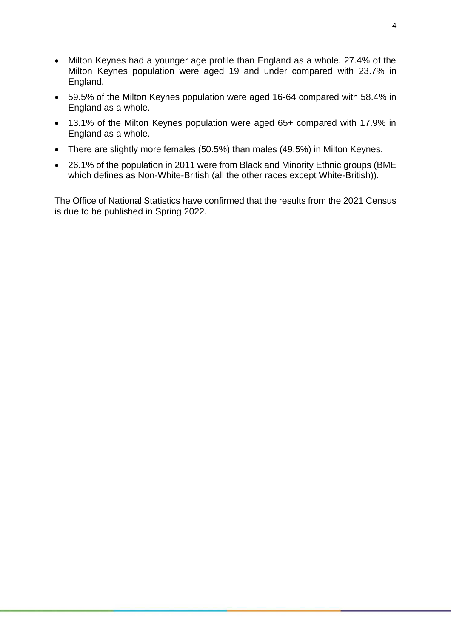- Milton Keynes had a younger age profile than England as a whole. 27.4% of the Milton Keynes population were aged 19 and under compared with 23.7% in England.
- 59.5% of the Milton Keynes population were aged 16-64 compared with 58.4% in England as a whole.
- 13.1% of the Milton Keynes population were aged 65+ compared with 17.9% in England as a whole.
- There are slightly more females (50.5%) than males (49.5%) in Milton Keynes.
- 26.1% of the population in 2011 were from Black and Minority Ethnic groups (BME which defines as Non-White-British (all the other races except White-British)).

The Office of National Statistics have confirmed that the results from the 2021 Census is due to be published in Spring 2022.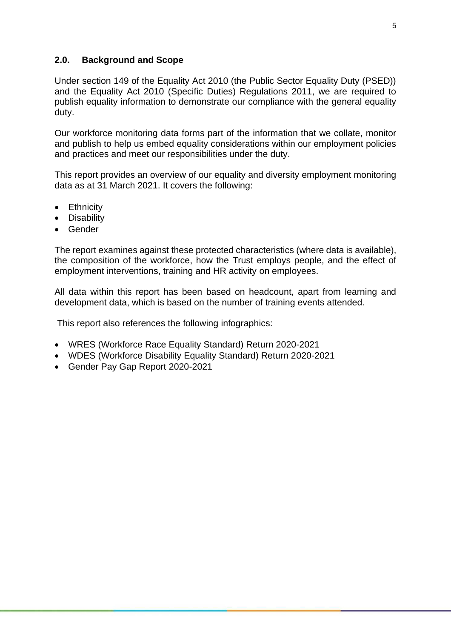## **2.0. Background and Scope**

Under section 149 of the Equality Act 2010 (the Public Sector Equality Duty (PSED)) and the Equality Act 2010 (Specific Duties) Regulations 2011, we are required to publish equality information to demonstrate our compliance with the general equality duty.

Our workforce monitoring data forms part of the information that we collate, monitor and publish to help us embed equality considerations within our employment policies and practices and meet our responsibilities under the duty.

This report provides an overview of our equality and diversity employment monitoring data as at 31 March 2021. It covers the following:

- Ethnicity
- Disability
- Gender

The report examines against these protected characteristics (where data is available), the composition of the workforce, how the Trust employs people, and the effect of employment interventions, training and HR activity on employees.

All data within this report has been based on headcount, apart from learning and development data, which is based on the number of training events attended.

This report also references the following infographics:

- WRES (Workforce Race Equality Standard) Return 2020-2021
- WDES (Workforce Disability Equality Standard) Return 2020-2021
- Gender Pay Gap Report 2020-2021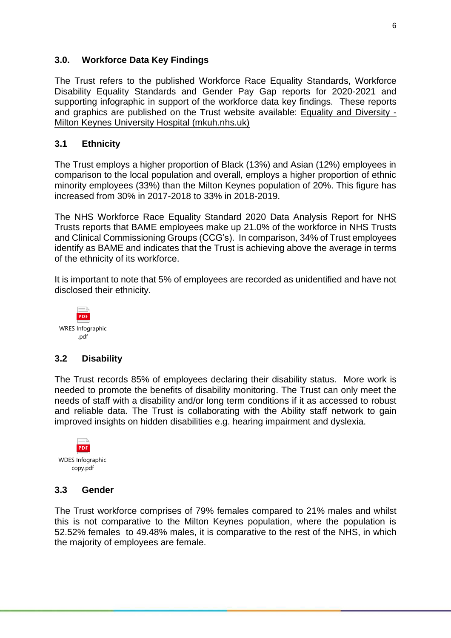# **3.0. Workforce Data Key Findings**

The Trust refers to the published Workforce Race Equality Standards, Workforce Disability Equality Standards and Gender Pay Gap reports for 2020-2021 and supporting infographic in support of the workforce data key findings. These reports and graphics are published on the Trust website available: [Equality and Diversity -](https://www.mkuh.nhs.uk/about-us/public-documents/equality-and-diversity) [Milton Keynes University Hospital \(mkuh.nhs.uk\)](https://www.mkuh.nhs.uk/about-us/public-documents/equality-and-diversity)

#### **3.1 Ethnicity**

The Trust employs a higher proportion of Black (13%) and Asian (12%) employees in comparison to the local population and overall, employs a higher proportion of ethnic minority employees (33%) than the Milton Keynes population of 20%. This figure has increased from 30% in 2017-2018 to 33% in 2018-2019.

The NHS Workforce Race Equality Standard 2020 Data Analysis Report for NHS Trusts reports that BAME employees make up 21.0% of the workforce in NHS Trusts and Clinical Commissioning Groups (CCG's). In comparison, 34% of Trust employees identify as BAME and indicates that the Trust is achieving above the average in terms of the ethnicity of its workforce.

It is important to note that 5% of employees are recorded as unidentified and have not disclosed their ethnicity.



# **3.2 Disability**

The Trust records 85% of employees declaring their disability status. More work is needed to promote the benefits of disability monitoring. The Trust can only meet the needs of staff with a disability and/or long term conditions if it as accessed to robust and reliable data. The Trust is collaborating with the Ability staff network to gain improved insights on hidden disabilities e.g. hearing impairment and dyslexia.



#### **3.3 Gender**

The Trust workforce comprises of 79% females compared to 21% males and whilst this is not comparative to the Milton Keynes population, where the population is 52.52% females to 49.48% males, it is comparative to the rest of the NHS, in which the majority of employees are female.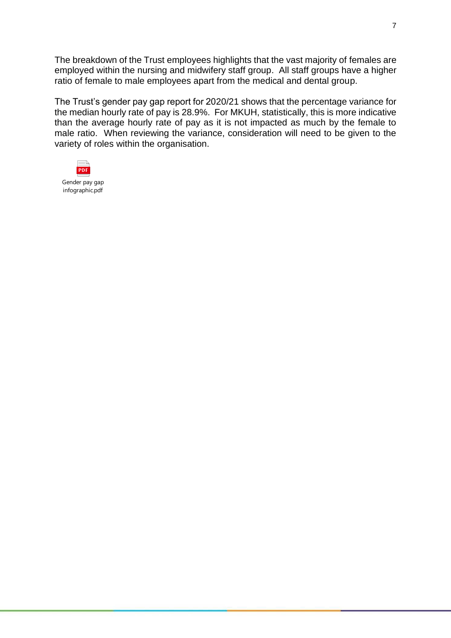The breakdown of the Trust employees highlights that the vast majority of females are employed within the nursing and midwifery staff group. All staff groups have a higher ratio of female to male employees apart from the medical and dental group.

The Trust's gender pay gap report for 2020/21 shows that the percentage variance for the median hourly rate of pay is 28.9%. For MKUH, statistically, this is more indicative than the average hourly rate of pay as it is not impacted as much by the female to male ratio. When reviewing the variance, consideration will need to be given to the variety of roles within the organisation.



Gender pay gap infographic.pdf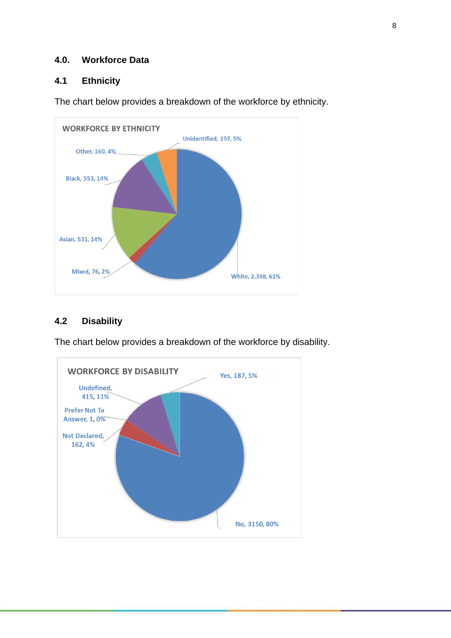#### **4.0. Workforce Data**

# **4.1 Ethnicity**

The chart below provides a breakdown of the workforce by ethnicity.



# **4.2 Disability**

The chart below provides a breakdown of the workforce by disability.

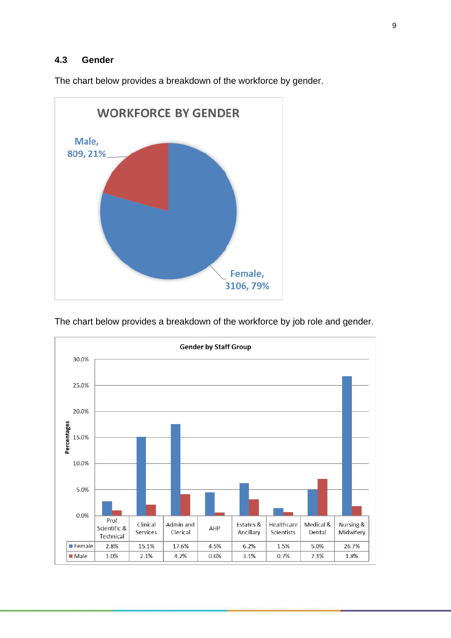# **4.3 Gender**

The chart below provides a breakdown of the workforce by gender.



The chart below provides a breakdown of the workforce by job role and gender.

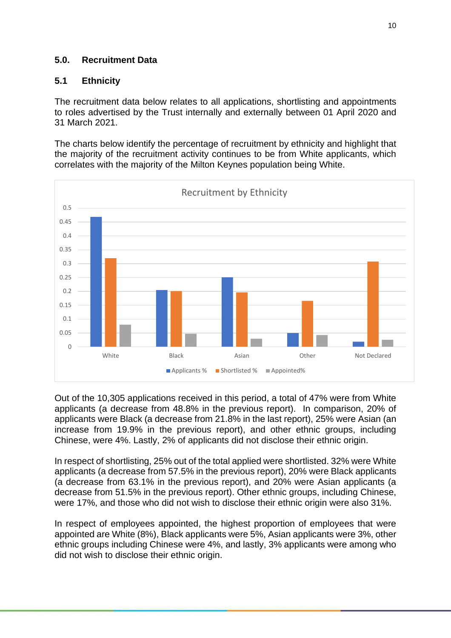# **5.0. Recruitment Data**

## **5.1 Ethnicity**

The recruitment data below relates to all applications, shortlisting and appointments to roles advertised by the Trust internally and externally between 01 April 2020 and 31 March 2021.

The charts below identify the percentage of recruitment by ethnicity and highlight that the majority of the recruitment activity continues to be from White applicants, which correlates with the majority of the Milton Keynes population being White.



Out of the 10,305 applications received in this period, a total of 47% were from White applicants (a decrease from 48.8% in the previous report). In comparison, 20% of applicants were Black (a decrease from 21.8% in the last report), 25% were Asian (an increase from 19.9% in the previous report), and other ethnic groups, including Chinese, were 4%. Lastly, 2% of applicants did not disclose their ethnic origin.

In respect of shortlisting, 25% out of the total applied were shortlisted. 32% were White applicants (a decrease from 57.5% in the previous report), 20% were Black applicants (a decrease from 63.1% in the previous report), and 20% were Asian applicants (a decrease from 51.5% in the previous report). Other ethnic groups, including Chinese, were 17%, and those who did not wish to disclose their ethnic origin were also 31%.

In respect of employees appointed, the highest proportion of employees that were appointed are White (8%), Black applicants were 5%, Asian applicants were 3%, other ethnic groups including Chinese were 4%, and lastly, 3% applicants were among who did not wish to disclose their ethnic origin.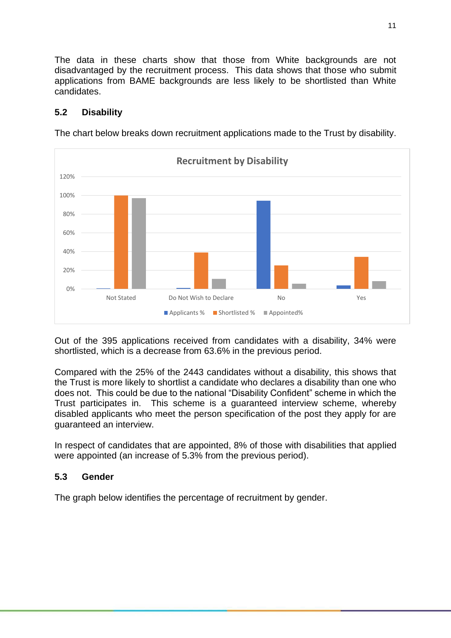The data in these charts show that those from White backgrounds are not disadvantaged by the recruitment process. This data shows that those who submit applications from BAME backgrounds are less likely to be shortlisted than White candidates.

# **5.2 Disability**

The chart below breaks down recruitment applications made to the Trust by disability.



Out of the 395 applications received from candidates with a disability, 34% were shortlisted, which is a decrease from 63.6% in the previous period.

Compared with the 25% of the 2443 candidates without a disability, this shows that the Trust is more likely to shortlist a candidate who declares a disability than one who does not. This could be due to the national "Disability Confident" scheme in which the Trust participates in. This scheme is a guaranteed interview scheme, whereby disabled applicants who meet the person specification of the post they apply for are guaranteed an interview.

In respect of candidates that are appointed, 8% of those with disabilities that applied were appointed (an increase of 5.3% from the previous period).

#### **5.3 Gender**

The graph below identifies the percentage of recruitment by gender.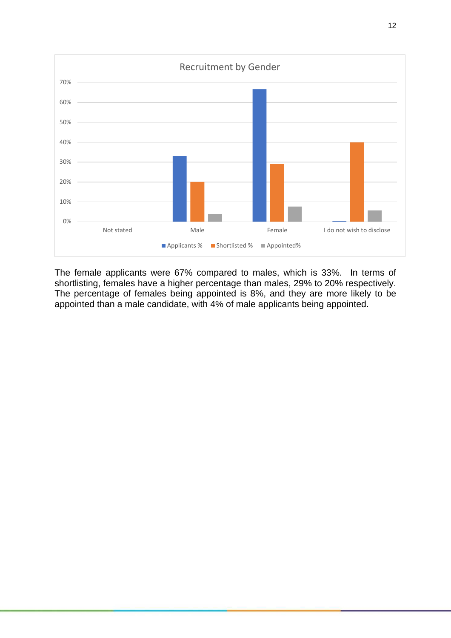

The female applicants were 67% compared to males, which is 33%. In terms of shortlisting, females have a higher percentage than males, 29% to 20% respectively. The percentage of females being appointed is 8%, and they are more likely to be appointed than a male candidate, with 4% of male applicants being appointed.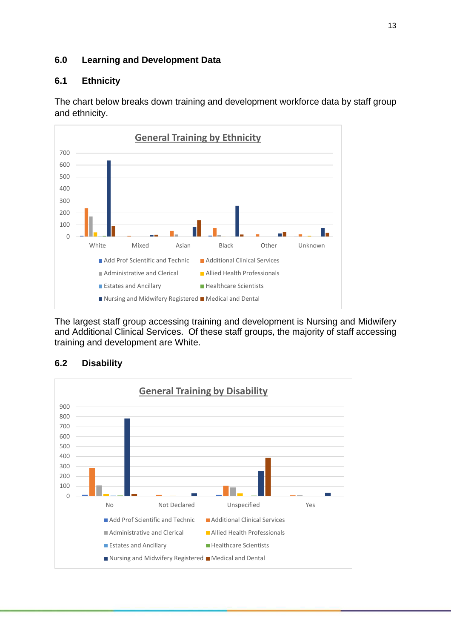# **6.0 Learning and Development Data**

# **6.1 Ethnicity**

The chart below breaks down training and development workforce data by staff group and ethnicity.



The largest staff group accessing training and development is Nursing and Midwifery and Additional Clinical Services. Of these staff groups, the majority of staff accessing training and development are White.



# **6.2 Disability**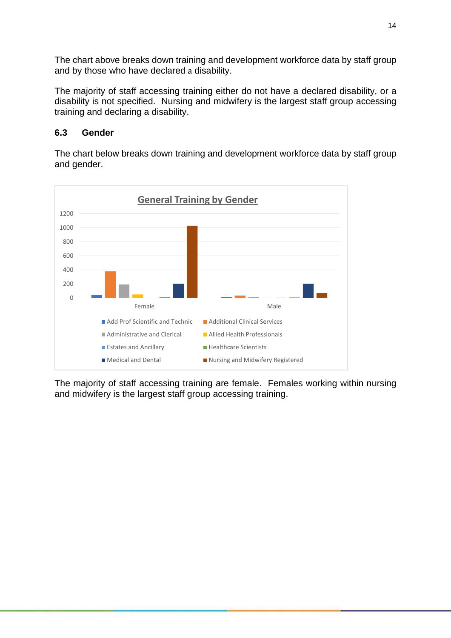The chart above breaks down training and development workforce data by staff group and by those who have declared a disability.

The majority of staff accessing training either do not have a declared disability, or a disability is not specified. Nursing and midwifery is the largest staff group accessing training and declaring a disability.

#### **6.3 Gender**

The chart below breaks down training and development workforce data by staff group and gender.



The majority of staff accessing training are female. Females working within nursing and midwifery is the largest staff group accessing training.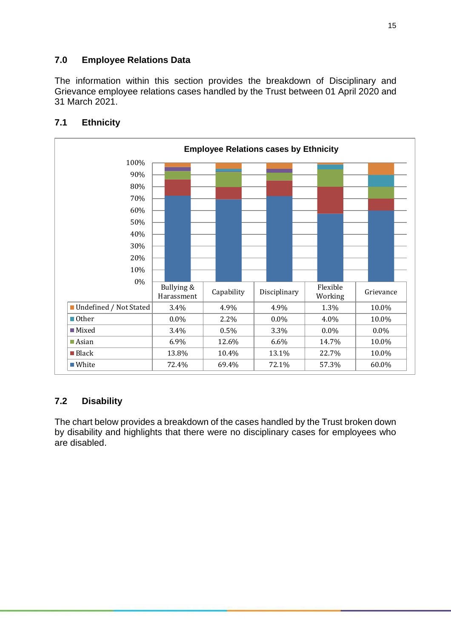# **7.0 Employee Relations Data**

The information within this section provides the breakdown of Disciplinary and Grievance employee relations cases handled by the Trust between 01 April 2020 and 31 March 2021.



# **7.1 Ethnicity**

# **7.2 Disability**

The chart below provides a breakdown of the cases handled by the Trust broken down by disability and highlights that there were no disciplinary cases for employees who are disabled.